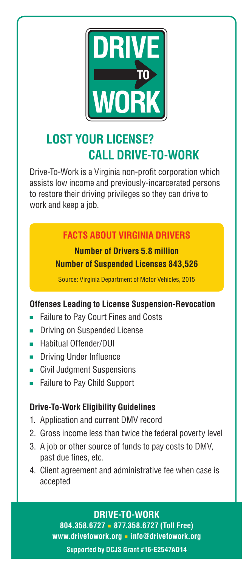

# **LOST YOUR LICENSE? CALL DRIVE-TO-WORK**

Drive-To-Work is a Virginia non-profit corporation which assists low income and previously-incarcerated persons to restore their driving privileges so they can drive to work and keep a job.

# **FACTS ABOUT VIRGINIA DRIVERS**

# **Number of Drivers 5.8 million Number of Suspended Licenses 843,526**

Source: Virginia Department of Motor Vehicles, 2015

# **Offenses Leading to License Suspension-Revocation**

- **Failure to Pay Court Fines and Costs**
- Driving on Suspended License
- Habitual Offender/DUI
- Driving Under Influence
- Civil Judgment Suspensions
- Failure to Pay Child Support

# **Drive-To-Work Eligibility Guidelines**

- 1. Application and current DMV record
- 2. Gross income less than twice the federal poverty level
- 3. A job or other source of funds to pay costs to DMV, past due fines, etc.
- 4. Client agreement and administrative fee when case is accepted

# **DRIVE-TO-WORK**

**804.358.6727** ■ **877.358.6727 (Toll Free) www.drivetowork.org** ■ **info@drivetowork.org**

**Supported by DCJS Grant #16-E2547AD14**